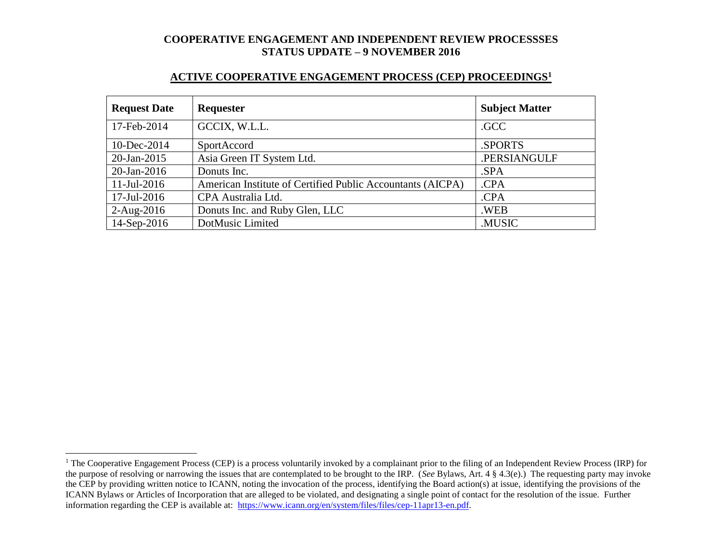#### **ACTIVE COOPERATIVE ENGAGEMENT PROCESS (CEP) PROCEEDINGS<sup>1</sup>**

| <b>Request Date</b> | <b>Requester</b>                                           | <b>Subject Matter</b> |
|---------------------|------------------------------------------------------------|-----------------------|
| 17-Feb-2014         | GCCIX, W.L.L.                                              | .GCC                  |
| 10-Dec-2014         | SportAccord                                                | .SPORTS               |
| $20$ -Jan-2015      | Asia Green IT System Ltd.                                  | .PERSIANGULF          |
| $20$ -Jan-2016      | Donuts Inc.                                                | .SPA                  |
| $11$ -Jul-2016      | American Institute of Certified Public Accountants (AICPA) | .CPA                  |
| 17-Jul-2016         | CPA Australia Ltd.                                         | .CPA                  |
| $2-Aug-2016$        | Donuts Inc. and Ruby Glen, LLC                             | .WEB                  |
| 14-Sep-2016         | DotMusic Limited                                           | .MUSIC                |

l

<sup>&</sup>lt;sup>1</sup> The Cooperative Engagement Process (CEP) is a process voluntarily invoked by a complainant prior to the filing of an Independent Review Process (IRP) for the purpose of resolving or narrowing the issues that are contemplated to be brought to the IRP. (*See* Bylaws, Art. 4 § 4.3(e).) The requesting party may invoke the CEP by providing written notice to ICANN, noting the invocation of the process, identifying the Board action(s) at issue, identifying the provisions of the ICANN Bylaws or Articles of Incorporation that are alleged to be violated, and designating a single point of contact for the resolution of the issue. Further information regarding the CEP is available at: [https://www.icann.org/en/system/files/files/cep-11apr13-en.pdf.](https://www.icann.org/en/system/files/files/cep-11apr13-en.pdf)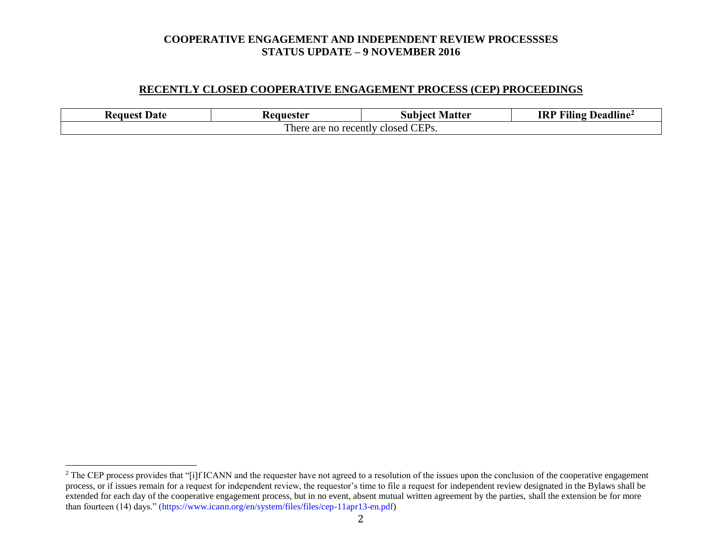#### **RECENTLY CLOSED COOPERATIVE ENGAGEMENT PROCESS (CEP) PROCEEDINGS**

| Date<br><b>Request</b>                               | Keauester | <b>Subject Matter</b> | <b>Filing Deadline</b> <sup>2</sup><br>IRP |  |  |
|------------------------------------------------------|-----------|-----------------------|--------------------------------------------|--|--|
| CEP <sub>s</sub> .<br>There are no recently closed C |           |                       |                                            |  |  |

l

<sup>&</sup>lt;sup>2</sup> The CEP process provides that "[i]f ICANN and the requester have not agreed to a resolution of the issues upon the conclusion of the cooperative engagement process, or if issues remain for a request for independent review, the requestor's time to file a request for independent review designated in the Bylaws shall be extended for each day of the cooperative engagement process, but in no event, absent mutual written agreement by the parties, shall the extension be for more than fourteen (14) days." (https://www.icann.org/en/system/files/files/cep-11apr13-en.pdf)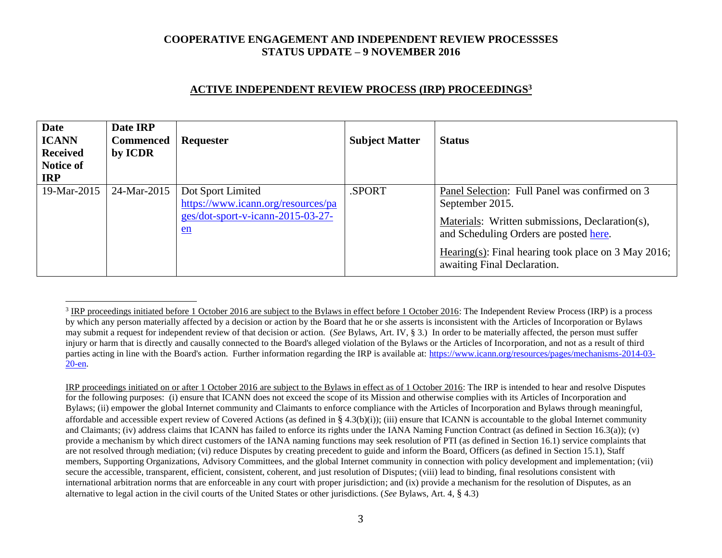# **ACTIVE INDEPENDENT REVIEW PROCESS (IRP) PROCEEDINGS<sup>3</sup>**

| <b>Date</b><br><b>ICANN</b><br><b>Received</b><br>Notice of<br><b>IRP</b> | Date IRP<br><b>Commenced</b><br>by ICDR | Requester                                                                                            | <b>Subject Matter</b> | <b>Status</b>                                                                                                                                                                                                                                        |
|---------------------------------------------------------------------------|-----------------------------------------|------------------------------------------------------------------------------------------------------|-----------------------|------------------------------------------------------------------------------------------------------------------------------------------------------------------------------------------------------------------------------------------------------|
| 19-Mar-2015                                                               | 24-Mar-2015                             | Dot Sport Limited<br>https://www.icann.org/resources/pa<br>ges/dot-sport-v-icann-2015-03-27-<br>$en$ | .SPORT                | Panel Selection: Full Panel was confirmed on 3<br>September 2015.<br>Materials: Written submissions, Declaration(s),<br>and Scheduling Orders are posted here.<br>Hearing(s): Final hearing took place on 3 May 2016;<br>awaiting Final Declaration. |

 $\overline{a}$ 

IRP proceedings initiated on or after 1 October 2016 are subject to the Bylaws in effect as of 1 October 2016: The IRP is intended to hear and resolve Disputes for the following purposes: (i) ensure that ICANN does not exceed the scope of its Mission and otherwise complies with its Articles of Incorporation and Bylaws; (ii) empower the global Internet community and Claimants to enforce compliance with the Articles of Incorporation and Bylaws through meaningful, affordable and accessible expert review of Covered Actions (as defined in § 4.3(b)(i)); (iii) ensure that ICANN is accountable to the global Internet community and Claimants; (iv) address claims that ICANN has failed to enforce its rights under the IANA Naming Function Contract (as defined in Section 16.3(a)); (v) provide a mechanism by which direct customers of the IANA naming functions may seek resolution of PTI (as defined in Section 16.1) service complaints that are not resolved through mediation; (vi) reduce Disputes by creating precedent to guide and inform the Board, Officers (as defined in Section 15.1), Staff members, Supporting Organizations, Advisory Committees, and the global Internet community in connection with policy development and implementation; (vii) secure the accessible, transparent, efficient, consistent, coherent, and just resolution of Disputes; (viii) lead to binding, final resolutions consistent with international arbitration norms that are enforceable in any court with proper jurisdiction; and (ix) provide a mechanism for the resolution of Disputes, as an alternative to legal action in the civil courts of the United States or other jurisdictions. (*See* Bylaws, Art. 4, § 4.3)

 $3$  IRP proceedings initiated before 1 October 2016 are subject to the Bylaws in effect before 1 October 2016: The Independent Review Process (IRP) is a process by which any person materially affected by a decision or action by the Board that he or she asserts is inconsistent with the Articles of Incorporation or Bylaws may submit a request for independent review of that decision or action. (*See* Bylaws, Art. IV, § 3.) In order to be materially affected, the person must suffer injury or harm that is directly and causally connected to the Board's alleged violation of the Bylaws or the Articles of Incorporation, and not as a result of third parties acting in line with the Board's action. Further information regarding the IRP is available at: [https://www.icann.org/resources/pages/mechanisms-2014-03-](https://www.icann.org/resources/pages/mechanisms-2014-03-20-en) [20-en.](https://www.icann.org/resources/pages/mechanisms-2014-03-20-en)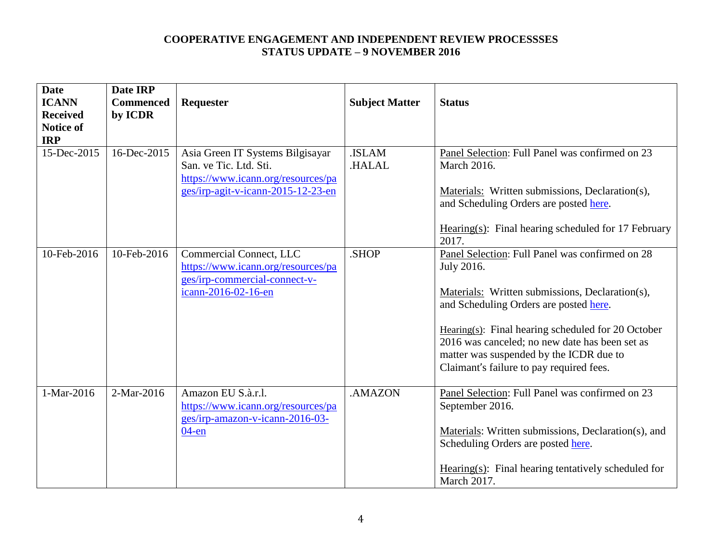| <b>Date</b><br><b>ICANN</b> | Date IRP<br><b>Commenced</b> | Requester                                                                                        | <b>Subject Matter</b>        | <b>Status</b>                                                                                            |
|-----------------------------|------------------------------|--------------------------------------------------------------------------------------------------|------------------------------|----------------------------------------------------------------------------------------------------------|
| <b>Received</b>             | by ICDR                      |                                                                                                  |                              |                                                                                                          |
| <b>Notice of</b>            |                              |                                                                                                  |                              |                                                                                                          |
| <b>IRP</b>                  |                              |                                                                                                  |                              |                                                                                                          |
| 15-Dec-2015                 | 16-Dec-2015                  | Asia Green IT Systems Bilgisayar<br>San. ve Tic. Ltd. Sti.<br>https://www.icann.org/resources/pa | <b>ISLAM</b><br><b>HALAL</b> | Panel Selection: Full Panel was confirmed on 23<br>March 2016.                                           |
|                             |                              | ges/irp-agit-v-icann-2015-12-23-en                                                               |                              | Materials: Written submissions, Declaration(s),<br>and Scheduling Orders are posted here.                |
|                             |                              |                                                                                                  |                              | Hearing $(s)$ : Final hearing scheduled for 17 February<br>2017.                                         |
| 10-Feb-2016                 | 10-Feb-2016                  | Commercial Connect, LLC<br>https://www.icann.org/resources/pa<br>ges/irp-commercial-connect-v-   | .SHOP                        | Panel Selection: Full Panel was confirmed on 28<br>July 2016.                                            |
|                             |                              | icann-2016-02-16-en                                                                              |                              | Materials: Written submissions, Declaration(s),<br>and Scheduling Orders are posted here.                |
|                             |                              |                                                                                                  |                              | Hearing $(s)$ : Final hearing scheduled for 20 October<br>2016 was canceled; no new date has been set as |
|                             |                              |                                                                                                  |                              | matter was suspended by the ICDR due to                                                                  |
|                             |                              |                                                                                                  |                              | Claimant's failure to pay required fees.                                                                 |
| 1-Mar-2016                  | 2-Mar-2016                   | Amazon EU S.à.r.l.<br>https://www.icann.org/resources/pa<br>ges/irp-amazon-v-icann-2016-03-      | .AMAZON                      | Panel Selection: Full Panel was confirmed on 23<br>September 2016.                                       |
|                             |                              | $04$ -en                                                                                         |                              | Materials: Written submissions, Declaration(s), and                                                      |
|                             |                              |                                                                                                  |                              | Scheduling Orders are posted here.                                                                       |
|                             |                              |                                                                                                  |                              | Hearing $(s)$ : Final hearing tentatively scheduled for<br>March 2017.                                   |